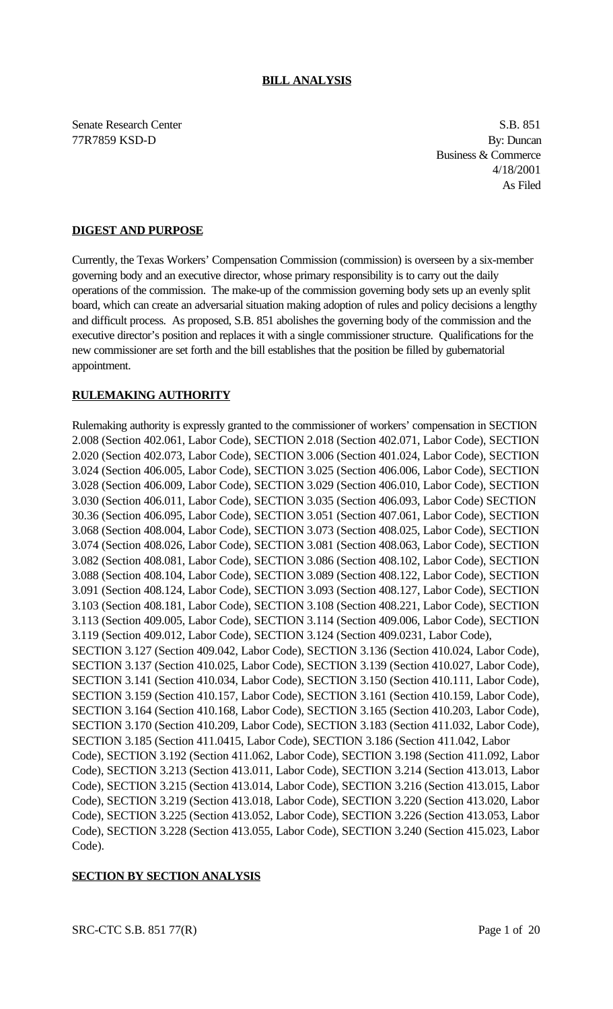Senate Research Center S.B. 851 77R7859 KSD-D By: Duncan

Business & Commerce 4/18/2001 As Filed

# **DIGEST AND PURPOSE**

Currently, the Texas Workers' Compensation Commission (commission) is overseen by a six-member governing body and an executive director, whose primary responsibility is to carry out the daily operations of the commission. The make-up of the commission governing body sets up an evenly split board, which can create an adversarial situation making adoption of rules and policy decisions a lengthy and difficult process. As proposed, S.B. 851 abolishes the governing body of the commission and the executive director's position and replaces it with a single commissioner structure. Qualifications for the new commissioner are set forth and the bill establishes that the position be filled by gubernatorial appointment.

# **RULEMAKING AUTHORITY**

Rulemaking authority is expressly granted to the commissioner of workers' compensation in SECTION 2.008 (Section 402.061, Labor Code), SECTION 2.018 (Section 402.071, Labor Code), SECTION 2.020 (Section 402.073, Labor Code), SECTION 3.006 (Section 401.024, Labor Code), SECTION 3.024 (Section 406.005, Labor Code), SECTION 3.025 (Section 406.006, Labor Code), SECTION 3.028 (Section 406.009, Labor Code), SECTION 3.029 (Section 406.010, Labor Code), SECTION 3.030 (Section 406.011, Labor Code), SECTION 3.035 (Section 406.093, Labor Code) SECTION 30.36 (Section 406.095, Labor Code), SECTION 3.051 (Section 407.061, Labor Code), SECTION 3.068 (Section 408.004, Labor Code), SECTION 3.073 (Section 408.025, Labor Code), SECTION 3.074 (Section 408.026, Labor Code), SECTION 3.081 (Section 408.063, Labor Code), SECTION 3.082 (Section 408.081, Labor Code), SECTION 3.086 (Section 408.102, Labor Code), SECTION 3.088 (Section 408.104, Labor Code), SECTION 3.089 (Section 408.122, Labor Code), SECTION 3.091 (Section 408.124, Labor Code), SECTION 3.093 (Section 408.127, Labor Code), SECTION 3.103 (Section 408.181, Labor Code), SECTION 3.108 (Section 408.221, Labor Code), SECTION 3.113 (Section 409.005, Labor Code), SECTION 3.114 (Section 409.006, Labor Code), SECTION 3.119 (Section 409.012, Labor Code), SECTION 3.124 (Section 409.0231, Labor Code), SECTION 3.127 (Section 409.042, Labor Code), SECTION 3.136 (Section 410.024, Labor Code), SECTION 3.137 (Section 410.025, Labor Code), SECTION 3.139 (Section 410.027, Labor Code), SECTION 3.141 (Section 410.034, Labor Code), SECTION 3.150 (Section 410.111, Labor Code), SECTION 3.159 (Section 410.157, Labor Code), SECTION 3.161 (Section 410.159, Labor Code), SECTION 3.164 (Section 410.168, Labor Code), SECTION 3.165 (Section 410.203, Labor Code), SECTION 3.170 (Section 410.209, Labor Code), SECTION 3.183 (Section 411.032, Labor Code), SECTION 3.185 (Section 411.0415, Labor Code), SECTION 3.186 (Section 411.042, Labor Code), SECTION 3.192 (Section 411.062, Labor Code), SECTION 3.198 (Section 411.092, Labor Code), SECTION 3.213 (Section 413.011, Labor Code), SECTION 3.214 (Section 413.013, Labor Code), SECTION 3.215 (Section 413.014, Labor Code), SECTION 3.216 (Section 413.015, Labor Code), SECTION 3.219 (Section 413.018, Labor Code), SECTION 3.220 (Section 413.020, Labor Code), SECTION 3.225 (Section 413.052, Labor Code), SECTION 3.226 (Section 413.053, Labor Code), SECTION 3.228 (Section 413.055, Labor Code), SECTION 3.240 (Section 415.023, Labor Code).

# **SECTION BY SECTION ANALYSIS**

 $SRC-CTC S.B. 851 77(R)$  Page 1 of 20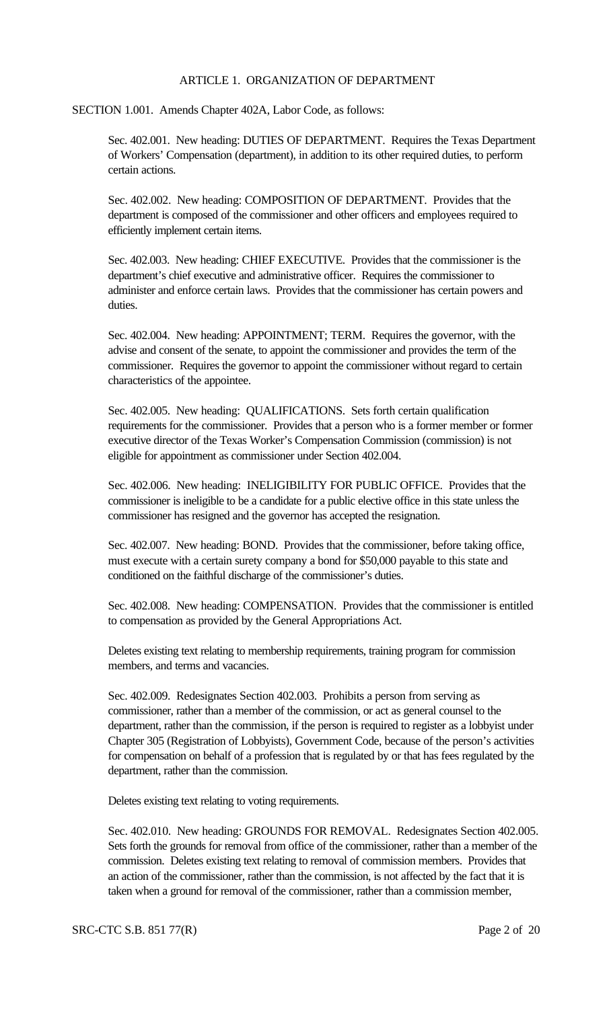#### ARTICLE 1. ORGANIZATION OF DEPARTMENT

SECTION 1.001. Amends Chapter 402A, Labor Code, as follows:

Sec. 402.001. New heading: DUTIES OF DEPARTMENT. Requires the Texas Department of Workers' Compensation (department), in addition to its other required duties, to perform certain actions.

Sec. 402.002. New heading: COMPOSITION OF DEPARTMENT. Provides that the department is composed of the commissioner and other officers and employees required to efficiently implement certain items.

Sec. 402.003. New heading: CHIEF EXECUTIVE. Provides that the commissioner is the department's chief executive and administrative officer. Requires the commissioner to administer and enforce certain laws. Provides that the commissioner has certain powers and duties.

Sec. 402.004. New heading: APPOINTMENT; TERM. Requires the governor, with the advise and consent of the senate, to appoint the commissioner and provides the term of the commissioner. Requires the governor to appoint the commissioner without regard to certain characteristics of the appointee.

Sec. 402.005. New heading: QUALIFICATIONS. Sets forth certain qualification requirements for the commissioner. Provides that a person who is a former member or former executive director of the Texas Worker's Compensation Commission (commission) is not eligible for appointment as commissioner under Section 402.004.

Sec. 402.006. New heading: INELIGIBILITY FOR PUBLIC OFFICE. Provides that the commissioner is ineligible to be a candidate for a public elective office in this state unless the commissioner has resigned and the governor has accepted the resignation.

Sec. 402.007. New heading: BOND. Provides that the commissioner, before taking office, must execute with a certain surety company a bond for \$50,000 payable to this state and conditioned on the faithful discharge of the commissioner's duties.

Sec. 402.008. New heading: COMPENSATION. Provides that the commissioner is entitled to compensation as provided by the General Appropriations Act.

Deletes existing text relating to membership requirements, training program for commission members, and terms and vacancies.

Sec. 402.009. Redesignates Section 402.003. Prohibits a person from serving as commissioner, rather than a member of the commission, or act as general counsel to the department, rather than the commission, if the person is required to register as a lobbyist under Chapter 305 (Registration of Lobbyists), Government Code, because of the person's activities for compensation on behalf of a profession that is regulated by or that has fees regulated by the department, rather than the commission.

Deletes existing text relating to voting requirements.

Sec. 402.010. New heading: GROUNDS FOR REMOVAL. Redesignates Section 402.005. Sets forth the grounds for removal from office of the commissioner, rather than a member of the commission. Deletes existing text relating to removal of commission members. Provides that an action of the commissioner, rather than the commission, is not affected by the fact that it is taken when a ground for removal of the commissioner, rather than a commission member,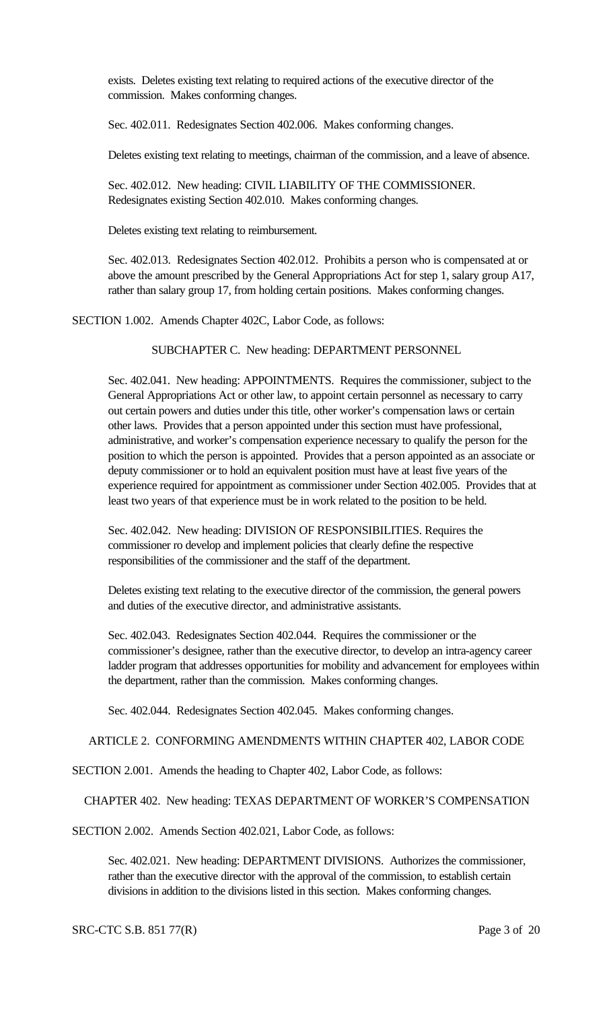exists. Deletes existing text relating to required actions of the executive director of the commission. Makes conforming changes.

Sec. 402.011. Redesignates Section 402.006. Makes conforming changes.

Deletes existing text relating to meetings, chairman of the commission, and a leave of absence.

Sec. 402.012. New heading: CIVIL LIABILITY OF THE COMMISSIONER. Redesignates existing Section 402.010. Makes conforming changes.

Deletes existing text relating to reimbursement.

Sec. 402.013. Redesignates Section 402.012. Prohibits a person who is compensated at or above the amount prescribed by the General Appropriations Act for step 1, salary group A17, rather than salary group 17, from holding certain positions. Makes conforming changes.

SECTION 1.002. Amends Chapter 402C, Labor Code, as follows:

SUBCHAPTER C. New heading: DEPARTMENT PERSONNEL

Sec. 402.041. New heading: APPOINTMENTS. Requires the commissioner, subject to the General Appropriations Act or other law, to appoint certain personnel as necessary to carry out certain powers and duties under this title, other worker's compensation laws or certain other laws. Provides that a person appointed under this section must have professional, administrative, and worker's compensation experience necessary to qualify the person for the position to which the person is appointed. Provides that a person appointed as an associate or deputy commissioner or to hold an equivalent position must have at least five years of the experience required for appointment as commissioner under Section 402.005. Provides that at least two years of that experience must be in work related to the position to be held.

Sec. 402.042. New heading: DIVISION OF RESPONSIBILITIES. Requires the commissioner ro develop and implement policies that clearly define the respective responsibilities of the commissioner and the staff of the department.

Deletes existing text relating to the executive director of the commission, the general powers and duties of the executive director, and administrative assistants.

Sec. 402.043. Redesignates Section 402.044. Requires the commissioner or the commissioner's designee, rather than the executive director, to develop an intra-agency career ladder program that addresses opportunities for mobility and advancement for employees within the department, rather than the commission. Makes conforming changes.

Sec. 402.044. Redesignates Section 402.045. Makes conforming changes.

ARTICLE 2. CONFORMING AMENDMENTS WITHIN CHAPTER 402, LABOR CODE

SECTION 2.001. Amends the heading to Chapter 402, Labor Code, as follows:

CHAPTER 402. New heading: TEXAS DEPARTMENT OF WORKER'S COMPENSATION

SECTION 2.002. Amends Section 402.021, Labor Code, as follows:

Sec. 402.021. New heading: DEPARTMENT DIVISIONS. Authorizes the commissioner, rather than the executive director with the approval of the commission, to establish certain divisions in addition to the divisions listed in this section. Makes conforming changes.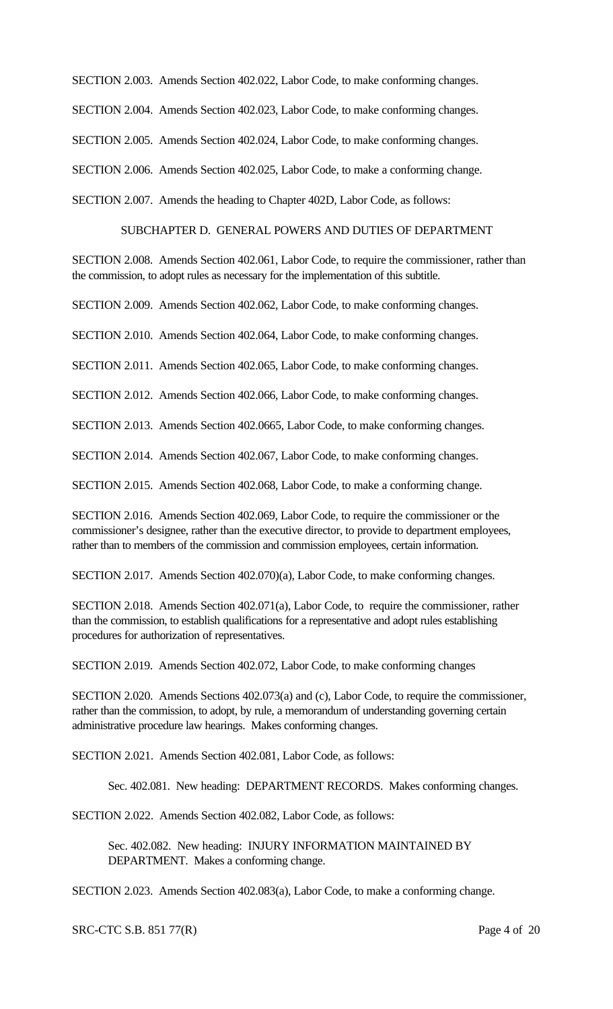SECTION 2.003. Amends Section 402.022, Labor Code, to make conforming changes.

SECTION 2.004. Amends Section 402.023, Labor Code, to make conforming changes.

SECTION 2.005. Amends Section 402.024, Labor Code, to make conforming changes.

SECTION 2.006. Amends Section 402.025, Labor Code, to make a conforming change.

SECTION 2.007. Amends the heading to Chapter 402D, Labor Code, as follows:

# SUBCHAPTER D. GENERAL POWERS AND DUTIES OF DEPARTMENT

SECTION 2.008. Amends Section 402.061, Labor Code, to require the commissioner, rather than the commission, to adopt rules as necessary for the implementation of this subtitle.

SECTION 2.009. Amends Section 402.062, Labor Code, to make conforming changes.

SECTION 2.010. Amends Section 402.064, Labor Code, to make conforming changes.

SECTION 2.011. Amends Section 402.065, Labor Code, to make conforming changes.

SECTION 2.012. Amends Section 402.066, Labor Code, to make conforming changes.

SECTION 2.013. Amends Section 402.0665, Labor Code, to make conforming changes.

SECTION 2.014. Amends Section 402.067, Labor Code, to make conforming changes.

SECTION 2.015. Amends Section 402.068, Labor Code, to make a conforming change.

SECTION 2.016. Amends Section 402.069, Labor Code, to require the commissioner or the commissioner's designee, rather than the executive director, to provide to department employees, rather than to members of the commission and commission employees, certain information.

SECTION 2.017. Amends Section 402.070)(a), Labor Code, to make conforming changes.

SECTION 2.018. Amends Section 402.071(a), Labor Code, to require the commissioner, rather than the commission, to establish qualifications for a representative and adopt rules establishing procedures for authorization of representatives.

SECTION 2.019. Amends Section 402.072, Labor Code, to make conforming changes

SECTION 2.020. Amends Sections 402.073(a) and (c), Labor Code, to require the commissioner, rather than the commission, to adopt, by rule, a memorandum of understanding governing certain administrative procedure law hearings. Makes conforming changes.

SECTION 2.021. Amends Section 402.081, Labor Code, as follows:

Sec. 402.081. New heading: DEPARTMENT RECORDS. Makes conforming changes.

SECTION 2.022. Amends Section 402.082, Labor Code, as follows:

Sec. 402.082. New heading: INJURY INFORMATION MAINTAINED BY DEPARTMENT. Makes a conforming change.

SECTION 2.023. Amends Section 402.083(a), Labor Code, to make a conforming change.

SRC-CTC S.B. 851 77(R) Page 4 of 20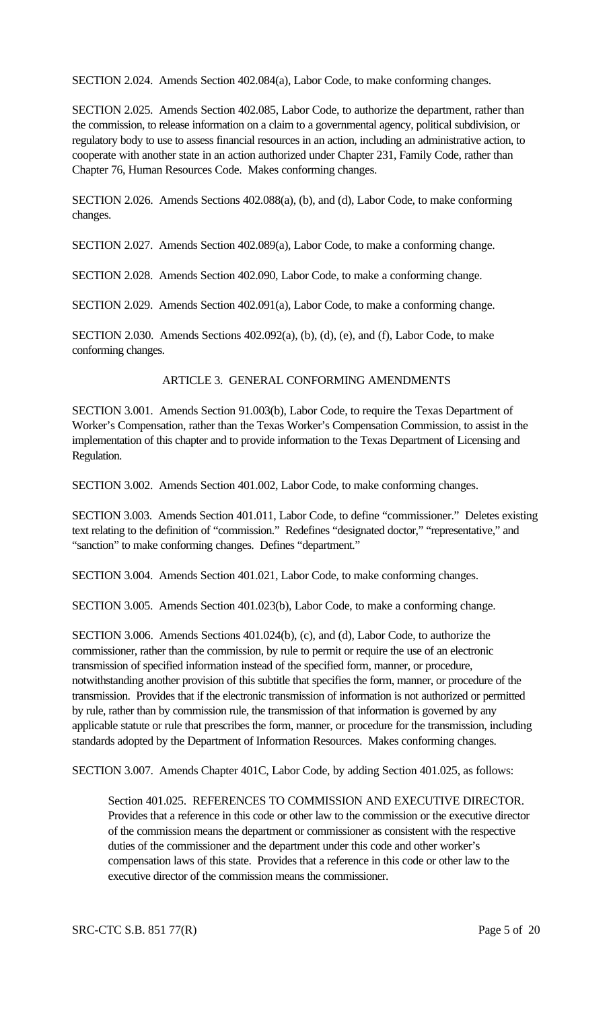SECTION 2.024. Amends Section 402.084(a), Labor Code, to make conforming changes.

SECTION 2.025. Amends Section 402.085, Labor Code, to authorize the department, rather than the commission, to release information on a claim to a governmental agency, political subdivision, or regulatory body to use to assess financial resources in an action, including an administrative action, to cooperate with another state in an action authorized under Chapter 231, Family Code, rather than Chapter 76, Human Resources Code. Makes conforming changes.

SECTION 2.026. Amends Sections 402.088(a), (b), and (d), Labor Code, to make conforming changes.

SECTION 2.027. Amends Section 402.089(a), Labor Code, to make a conforming change.

SECTION 2.028. Amends Section 402.090, Labor Code, to make a conforming change.

SECTION 2.029. Amends Section 402.091(a), Labor Code, to make a conforming change.

SECTION 2.030. Amends Sections 402.092(a), (b), (d), (e), and (f), Labor Code, to make conforming changes.

### ARTICLE 3. GENERAL CONFORMING AMENDMENTS

SECTION 3.001. Amends Section 91.003(b), Labor Code, to require the Texas Department of Worker's Compensation, rather than the Texas Worker's Compensation Commission, to assist in the implementation of this chapter and to provide information to the Texas Department of Licensing and Regulation.

SECTION 3.002. Amends Section 401.002, Labor Code, to make conforming changes.

SECTION 3.003. Amends Section 401.011, Labor Code, to define "commissioner." Deletes existing text relating to the definition of "commission." Redefines "designated doctor," "representative," and "sanction" to make conforming changes. Defines "department."

SECTION 3.004. Amends Section 401.021, Labor Code, to make conforming changes.

SECTION 3.005. Amends Section 401.023(b), Labor Code, to make a conforming change.

SECTION 3.006. Amends Sections 401.024(b), (c), and (d), Labor Code, to authorize the commissioner, rather than the commission, by rule to permit or require the use of an electronic transmission of specified information instead of the specified form, manner, or procedure, notwithstanding another provision of this subtitle that specifies the form, manner, or procedure of the transmission. Provides that if the electronic transmission of information is not authorized or permitted by rule, rather than by commission rule, the transmission of that information is governed by any applicable statute or rule that prescribes the form, manner, or procedure for the transmission, including standards adopted by the Department of Information Resources. Makes conforming changes.

SECTION 3.007. Amends Chapter 401C, Labor Code, by adding Section 401.025, as follows:

Section 401.025. REFERENCES TO COMMISSION AND EXECUTIVE DIRECTOR. Provides that a reference in this code or other law to the commission or the executive director of the commission means the department or commissioner as consistent with the respective duties of the commissioner and the department under this code and other worker's compensation laws of this state. Provides that a reference in this code or other law to the executive director of the commission means the commissioner.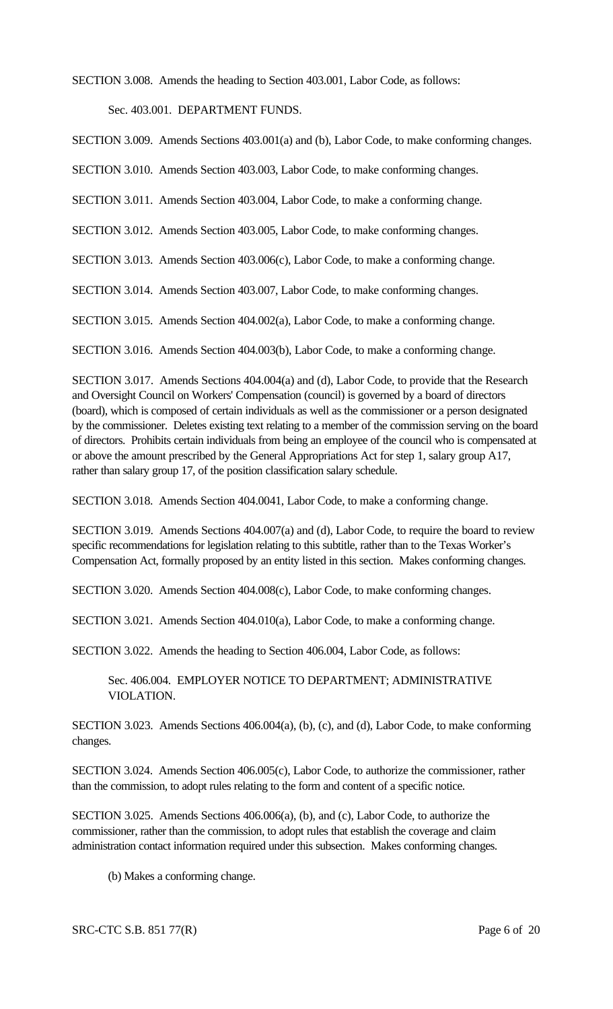SECTION 3.008. Amends the heading to Section 403.001, Labor Code, as follows:

Sec. 403.001. DEPARTMENT FUNDS.

SECTION 3.009. Amends Sections 403.001(a) and (b), Labor Code, to make conforming changes.

SECTION 3.010. Amends Section 403.003, Labor Code, to make conforming changes.

SECTION 3.011. Amends Section 403.004, Labor Code, to make a conforming change.

SECTION 3.012. Amends Section 403.005, Labor Code, to make conforming changes.

SECTION 3.013. Amends Section 403.006(c), Labor Code, to make a conforming change.

SECTION 3.014. Amends Section 403.007, Labor Code, to make conforming changes.

SECTION 3.015. Amends Section 404.002(a), Labor Code, to make a conforming change.

SECTION 3.016. Amends Section 404.003(b), Labor Code, to make a conforming change.

SECTION 3.017. Amends Sections 404.004(a) and (d), Labor Code, to provide that the Research and Oversight Council on Workers' Compensation (council) is governed by a board of directors (board), which is composed of certain individuals as well as the commissioner or a person designated by the commissioner. Deletes existing text relating to a member of the commission serving on the board of directors. Prohibits certain individuals from being an employee of the council who is compensated at or above the amount prescribed by the General Appropriations Act for step 1, salary group A17, rather than salary group 17, of the position classification salary schedule.

SECTION 3.018. Amends Section 404.0041, Labor Code, to make a conforming change.

SECTION 3.019. Amends Sections 404.007(a) and (d), Labor Code, to require the board to review specific recommendations for legislation relating to this subtitle, rather than to the Texas Worker's Compensation Act, formally proposed by an entity listed in this section. Makes conforming changes.

SECTION 3.020. Amends Section 404.008(c), Labor Code, to make conforming changes.

SECTION 3.021. Amends Section 404.010(a), Labor Code, to make a conforming change.

SECTION 3.022. Amends the heading to Section 406.004, Labor Code, as follows:

Sec. 406.004. EMPLOYER NOTICE TO DEPARTMENT; ADMINISTRATIVE VIOLATION.

SECTION 3.023. Amends Sections 406.004(a), (b), (c), and (d), Labor Code, to make conforming changes.

SECTION 3.024. Amends Section 406.005(c), Labor Code, to authorize the commissioner, rather than the commission, to adopt rules relating to the form and content of a specific notice.

SECTION 3.025. Amends Sections 406.006(a), (b), and (c), Labor Code, to authorize the commissioner, rather than the commission, to adopt rules that establish the coverage and claim administration contact information required under this subsection. Makes conforming changes.

(b) Makes a conforming change.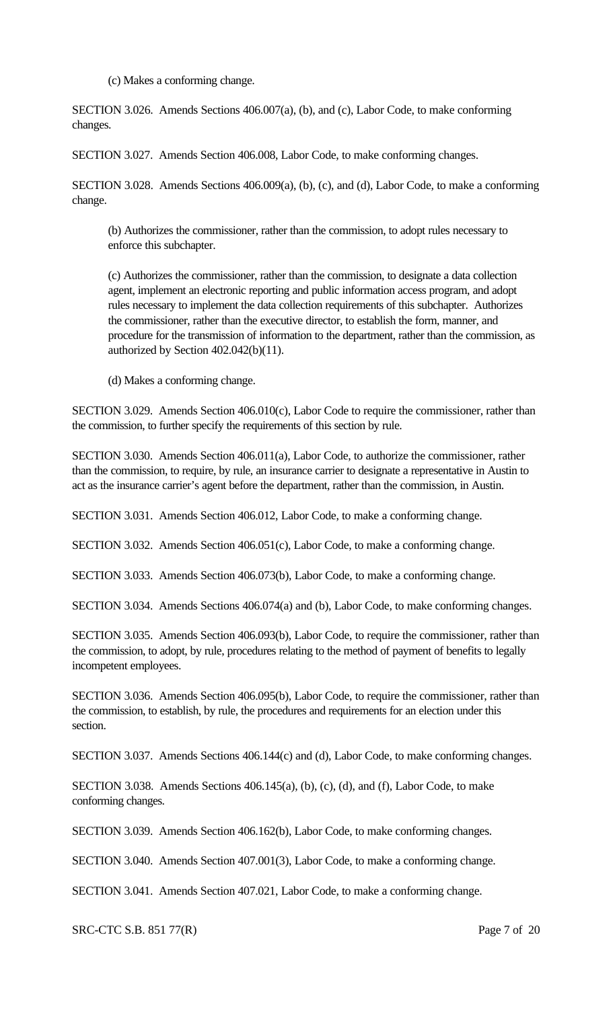(c) Makes a conforming change.

SECTION 3.026. Amends Sections 406.007(a), (b), and (c), Labor Code, to make conforming changes.

SECTION 3.027. Amends Section 406.008, Labor Code, to make conforming changes.

SECTION 3.028. Amends Sections 406.009(a), (b), (c), and (d), Labor Code, to make a conforming change.

(b) Authorizes the commissioner, rather than the commission, to adopt rules necessary to enforce this subchapter.

(c) Authorizes the commissioner, rather than the commission, to designate a data collection agent, implement an electronic reporting and public information access program, and adopt rules necessary to implement the data collection requirements of this subchapter. Authorizes the commissioner, rather than the executive director, to establish the form, manner, and procedure for the transmission of information to the department, rather than the commission, as authorized by Section 402.042(b)(11).

(d) Makes a conforming change.

SECTION 3.029. Amends Section 406.010(c), Labor Code to require the commissioner, rather than the commission, to further specify the requirements of this section by rule.

SECTION 3.030. Amends Section 406.011(a), Labor Code, to authorize the commissioner, rather than the commission, to require, by rule, an insurance carrier to designate a representative in Austin to act as the insurance carrier's agent before the department, rather than the commission, in Austin.

SECTION 3.031. Amends Section 406.012, Labor Code, to make a conforming change.

SECTION 3.032. Amends Section 406.051(c), Labor Code, to make a conforming change.

SECTION 3.033. Amends Section 406.073(b), Labor Code, to make a conforming change.

SECTION 3.034. Amends Sections 406.074(a) and (b), Labor Code, to make conforming changes.

SECTION 3.035. Amends Section 406.093(b), Labor Code, to require the commissioner, rather than the commission, to adopt, by rule, procedures relating to the method of payment of benefits to legally incompetent employees.

SECTION 3.036. Amends Section 406.095(b), Labor Code, to require the commissioner, rather than the commission, to establish, by rule, the procedures and requirements for an election under this section.

SECTION 3.037. Amends Sections 406.144(c) and (d), Labor Code, to make conforming changes.

SECTION 3.038. Amends Sections 406.145(a), (b), (c), (d), and (f), Labor Code, to make conforming changes.

SECTION 3.039. Amends Section 406.162(b), Labor Code, to make conforming changes.

SECTION 3.040. Amends Section 407.001(3), Labor Code, to make a conforming change.

SECTION 3.041. Amends Section 407.021, Labor Code, to make a conforming change.

SRC-CTC S.B. 851 77(R) Page 7 of 20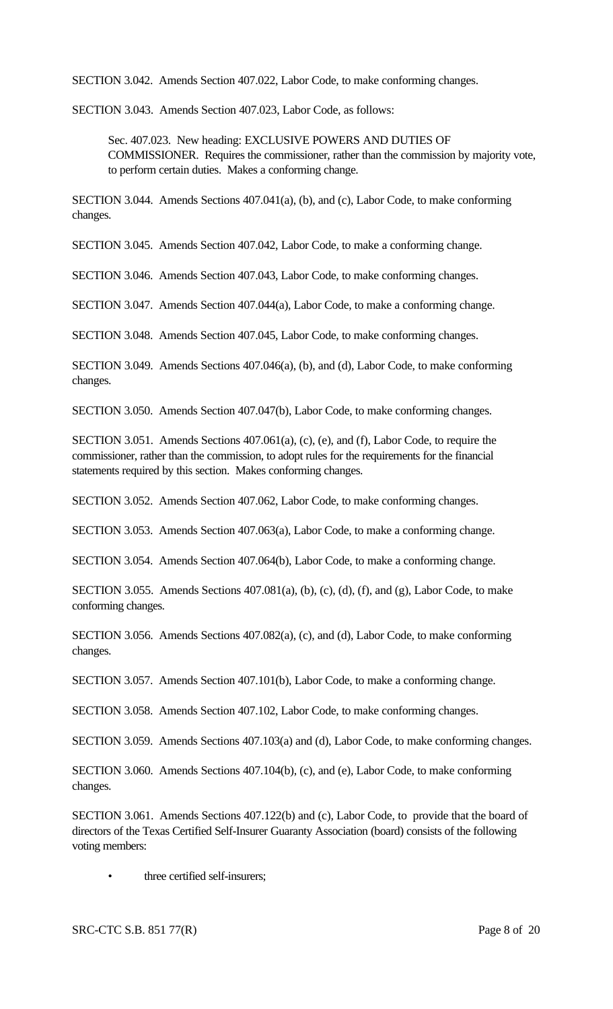SECTION 3.042. Amends Section 407.022, Labor Code, to make conforming changes.

SECTION 3.043. Amends Section 407.023, Labor Code, as follows:

Sec. 407.023. New heading: EXCLUSIVE POWERS AND DUTIES OF COMMISSIONER. Requires the commissioner, rather than the commission by majority vote, to perform certain duties. Makes a conforming change.

SECTION 3.044. Amends Sections 407.041(a), (b), and (c), Labor Code, to make conforming changes.

SECTION 3.045. Amends Section 407.042, Labor Code, to make a conforming change.

SECTION 3.046. Amends Section 407.043, Labor Code, to make conforming changes.

SECTION 3.047. Amends Section 407.044(a), Labor Code, to make a conforming change.

SECTION 3.048. Amends Section 407.045, Labor Code, to make conforming changes.

SECTION 3.049. Amends Sections 407.046(a), (b), and (d), Labor Code, to make conforming changes.

SECTION 3.050. Amends Section 407.047(b), Labor Code, to make conforming changes.

SECTION 3.051. Amends Sections 407.061(a), (c), (e), and (f), Labor Code, to require the commissioner, rather than the commission, to adopt rules for the requirements for the financial statements required by this section. Makes conforming changes.

SECTION 3.052. Amends Section 407.062, Labor Code, to make conforming changes.

SECTION 3.053. Amends Section 407.063(a), Labor Code, to make a conforming change.

SECTION 3.054. Amends Section 407.064(b), Labor Code, to make a conforming change.

SECTION 3.055. Amends Sections 407.081(a), (b), (c), (d), (f), and (g), Labor Code, to make conforming changes.

SECTION 3.056. Amends Sections 407.082(a), (c), and (d), Labor Code, to make conforming changes.

SECTION 3.057. Amends Section 407.101(b), Labor Code, to make a conforming change.

SECTION 3.058. Amends Section 407.102, Labor Code, to make conforming changes.

SECTION 3.059. Amends Sections 407.103(a) and (d), Labor Code, to make conforming changes.

SECTION 3.060. Amends Sections 407.104(b), (c), and (e), Labor Code, to make conforming changes.

SECTION 3.061. Amends Sections 407.122(b) and (c), Labor Code, to provide that the board of directors of the Texas Certified Self-Insurer Guaranty Association (board) consists of the following voting members:

three certified self-insurers;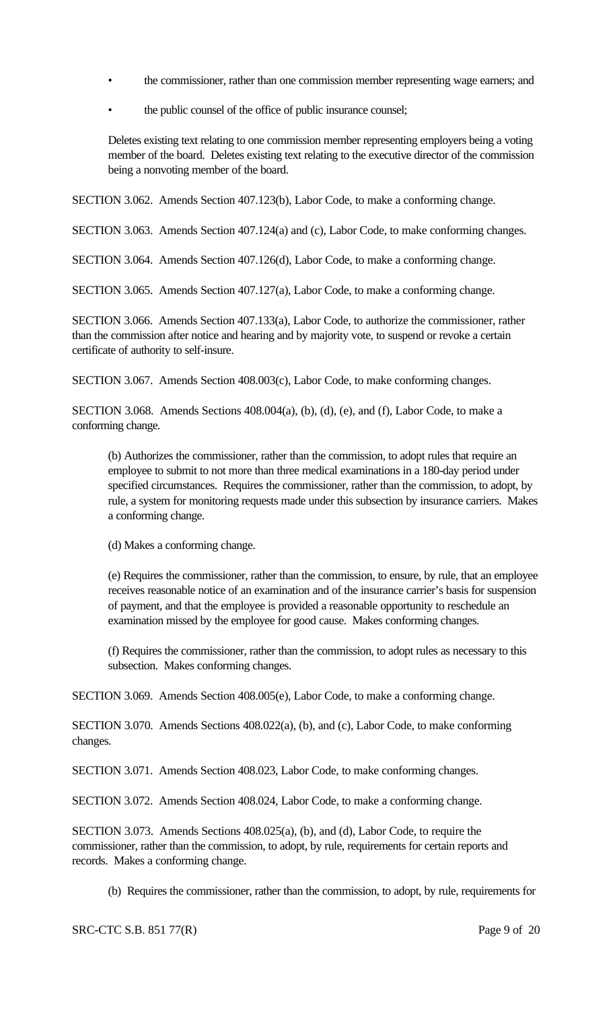- the commissioner, rather than one commission member representing wage earners; and
- the public counsel of the office of public insurance counsel;

Deletes existing text relating to one commission member representing employers being a voting member of the board. Deletes existing text relating to the executive director of the commission being a nonvoting member of the board.

SECTION 3.062. Amends Section 407.123(b), Labor Code, to make a conforming change.

SECTION 3.063. Amends Section 407.124(a) and (c), Labor Code, to make conforming changes.

SECTION 3.064. Amends Section 407.126(d), Labor Code, to make a conforming change.

SECTION 3.065. Amends Section 407.127(a), Labor Code, to make a conforming change.

SECTION 3.066. Amends Section 407.133(a), Labor Code, to authorize the commissioner, rather than the commission after notice and hearing and by majority vote, to suspend or revoke a certain certificate of authority to self-insure.

SECTION 3.067. Amends Section 408.003(c), Labor Code, to make conforming changes.

SECTION 3.068. Amends Sections 408.004(a), (b), (d), (e), and (f), Labor Code, to make a conforming change.

(b) Authorizes the commissioner, rather than the commission, to adopt rules that require an employee to submit to not more than three medical examinations in a 180-day period under specified circumstances. Requires the commissioner, rather than the commission, to adopt, by rule, a system for monitoring requests made under this subsection by insurance carriers. Makes a conforming change.

(d) Makes a conforming change.

(e) Requires the commissioner, rather than the commission, to ensure, by rule, that an employee receives reasonable notice of an examination and of the insurance carrier's basis for suspension of payment, and that the employee is provided a reasonable opportunity to reschedule an examination missed by the employee for good cause. Makes conforming changes.

(f) Requires the commissioner, rather than the commission, to adopt rules as necessary to this subsection. Makes conforming changes.

SECTION 3.069. Amends Section 408.005(e), Labor Code, to make a conforming change.

SECTION 3.070. Amends Sections 408.022(a), (b), and (c), Labor Code, to make conforming changes.

SECTION 3.071. Amends Section 408.023, Labor Code, to make conforming changes.

SECTION 3.072. Amends Section 408.024, Labor Code, to make a conforming change.

SECTION 3.073. Amends Sections 408.025(a), (b), and (d), Labor Code, to require the commissioner, rather than the commission, to adopt, by rule, requirements for certain reports and records. Makes a conforming change.

(b) Requires the commissioner, rather than the commission, to adopt, by rule, requirements for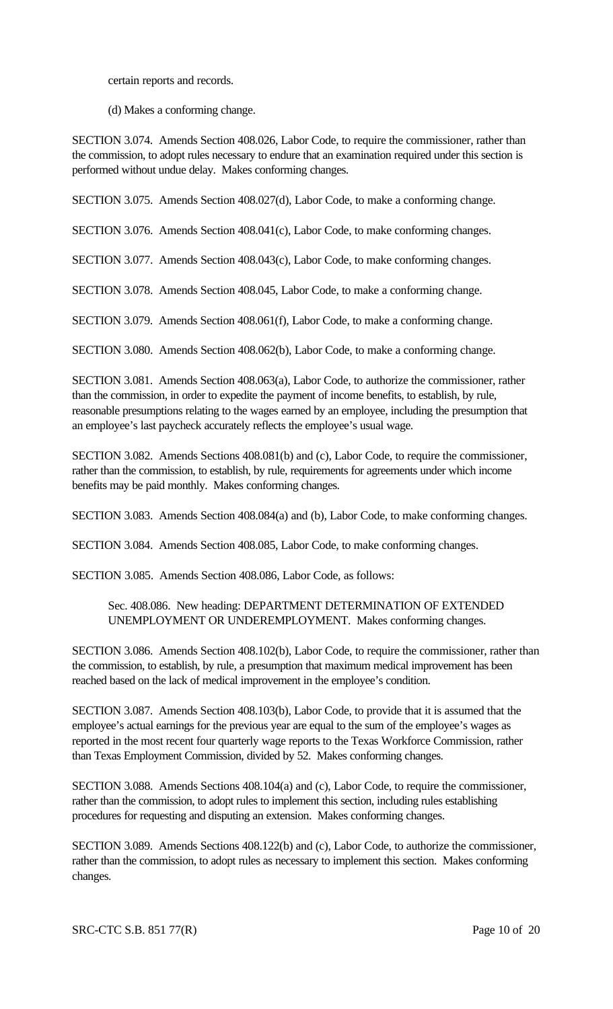certain reports and records.

(d) Makes a conforming change.

SECTION 3.074. Amends Section 408.026, Labor Code, to require the commissioner, rather than the commission, to adopt rules necessary to endure that an examination required under this section is performed without undue delay. Makes conforming changes.

SECTION 3.075. Amends Section 408.027(d), Labor Code, to make a conforming change.

SECTION 3.076. Amends Section 408.041(c), Labor Code, to make conforming changes.

SECTION 3.077. Amends Section 408.043(c), Labor Code, to make conforming changes.

SECTION 3.078. Amends Section 408.045, Labor Code, to make a conforming change.

SECTION 3.079. Amends Section 408.061(f), Labor Code, to make a conforming change.

SECTION 3.080. Amends Section 408.062(b), Labor Code, to make a conforming change.

SECTION 3.081. Amends Section 408.063(a), Labor Code, to authorize the commissioner, rather than the commission, in order to expedite the payment of income benefits, to establish, by rule, reasonable presumptions relating to the wages earned by an employee, including the presumption that an employee's last paycheck accurately reflects the employee's usual wage.

SECTION 3.082. Amends Sections 408.081(b) and (c), Labor Code, to require the commissioner, rather than the commission, to establish, by rule, requirements for agreements under which income benefits may be paid monthly. Makes conforming changes.

SECTION 3.083. Amends Section 408.084(a) and (b), Labor Code, to make conforming changes.

SECTION 3.084. Amends Section 408.085, Labor Code, to make conforming changes.

SECTION 3.085. Amends Section 408.086, Labor Code, as follows:

Sec. 408.086. New heading: DEPARTMENT DETERMINATION OF EXTENDED UNEMPLOYMENT OR UNDEREMPLOYMENT. Makes conforming changes.

SECTION 3.086. Amends Section 408.102(b), Labor Code, to require the commissioner, rather than the commission, to establish, by rule, a presumption that maximum medical improvement has been reached based on the lack of medical improvement in the employee's condition.

SECTION 3.087. Amends Section 408.103(b), Labor Code, to provide that it is assumed that the employee's actual earnings for the previous year are equal to the sum of the employee's wages as reported in the most recent four quarterly wage reports to the Texas Workforce Commission, rather than Texas Employment Commission, divided by 52. Makes conforming changes.

SECTION 3.088. Amends Sections 408.104(a) and (c), Labor Code, to require the commissioner, rather than the commission, to adopt rules to implement this section, including rules establishing procedures for requesting and disputing an extension. Makes conforming changes.

SECTION 3.089. Amends Sections 408.122(b) and (c), Labor Code, to authorize the commissioner, rather than the commission, to adopt rules as necessary to implement this section. Makes conforming changes.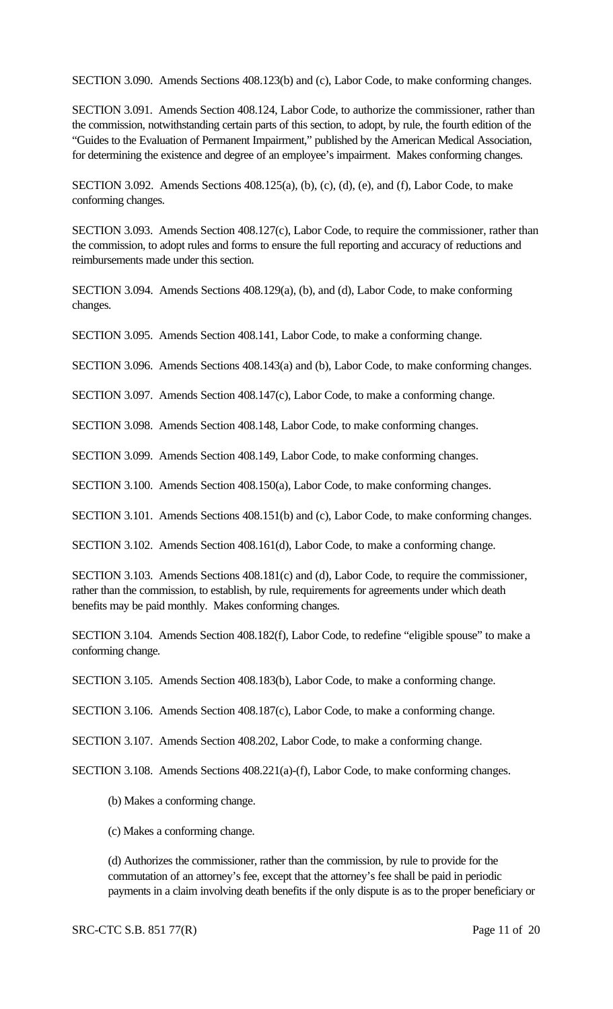SECTION 3.090. Amends Sections 408.123(b) and (c), Labor Code, to make conforming changes.

SECTION 3.091. Amends Section 408.124, Labor Code, to authorize the commissioner, rather than the commission, notwithstanding certain parts of this section, to adopt, by rule, the fourth edition of the "Guides to the Evaluation of Permanent Impairment," published by the American Medical Association, for determining the existence and degree of an employee's impairment. Makes conforming changes.

SECTION 3.092. Amends Sections 408.125(a), (b), (c), (d), (e), and (f), Labor Code, to make conforming changes.

SECTION 3.093. Amends Section 408.127(c), Labor Code, to require the commissioner, rather than the commission, to adopt rules and forms to ensure the full reporting and accuracy of reductions and reimbursements made under this section.

SECTION 3.094. Amends Sections 408.129(a), (b), and (d), Labor Code, to make conforming changes.

SECTION 3.095. Amends Section 408.141, Labor Code, to make a conforming change.

SECTION 3.096. Amends Sections 408.143(a) and (b), Labor Code, to make conforming changes.

SECTION 3.097. Amends Section 408.147(c), Labor Code, to make a conforming change.

SECTION 3.098. Amends Section 408.148, Labor Code, to make conforming changes.

SECTION 3.099. Amends Section 408.149, Labor Code, to make conforming changes.

SECTION 3.100. Amends Section 408.150(a), Labor Code, to make conforming changes.

SECTION 3.101. Amends Sections 408.151(b) and (c), Labor Code, to make conforming changes.

SECTION 3.102. Amends Section 408.161(d), Labor Code, to make a conforming change.

SECTION 3.103. Amends Sections 408.181(c) and (d), Labor Code, to require the commissioner, rather than the commission, to establish, by rule, requirements for agreements under which death benefits may be paid monthly. Makes conforming changes.

SECTION 3.104. Amends Section 408.182(f), Labor Code, to redefine "eligible spouse" to make a conforming change.

SECTION 3.105. Amends Section 408.183(b), Labor Code, to make a conforming change.

SECTION 3.106. Amends Section 408.187(c), Labor Code, to make a conforming change.

SECTION 3.107. Amends Section 408.202, Labor Code, to make a conforming change.

SECTION 3.108. Amends Sections 408.221(a)-(f), Labor Code, to make conforming changes.

(b) Makes a conforming change.

(c) Makes a conforming change.

(d) Authorizes the commissioner, rather than the commission, by rule to provide for the commutation of an attorney's fee, except that the attorney's fee shall be paid in periodic payments in a claim involving death benefits if the only dispute is as to the proper beneficiary or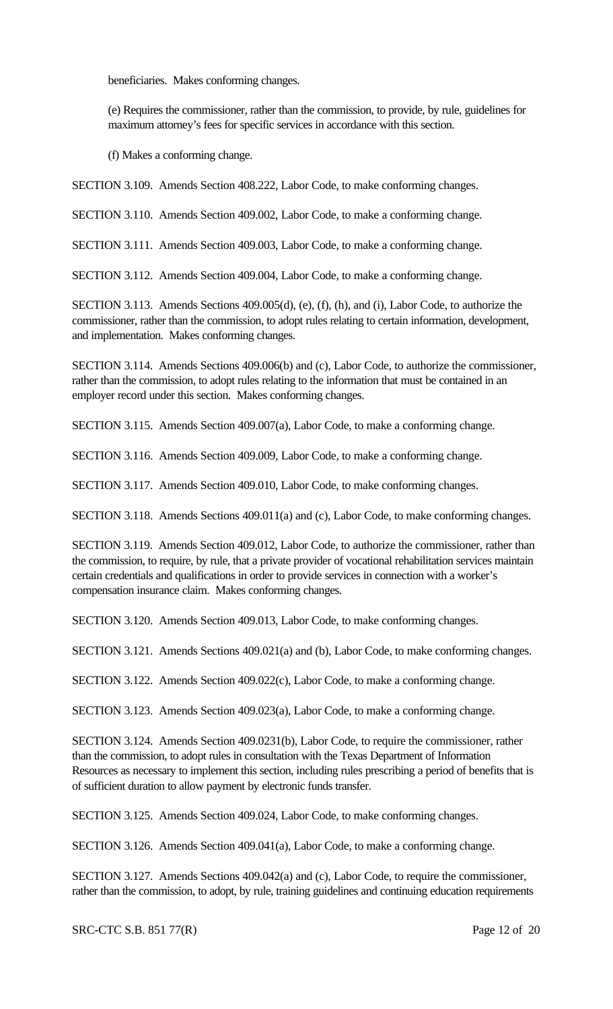beneficiaries. Makes conforming changes.

(e) Requires the commissioner, rather than the commission, to provide, by rule, guidelines for maximum attorney's fees for specific services in accordance with this section.

(f) Makes a conforming change.

SECTION 3.109. Amends Section 408.222, Labor Code, to make conforming changes.

SECTION 3.110. Amends Section 409.002, Labor Code, to make a conforming change.

SECTION 3.111. Amends Section 409.003, Labor Code, to make a conforming change.

SECTION 3.112. Amends Section 409.004, Labor Code, to make a conforming change.

SECTION 3.113. Amends Sections 409.005(d), (e), (f), (h), and (i), Labor Code, to authorize the commissioner, rather than the commission, to adopt rules relating to certain information, development, and implementation. Makes conforming changes.

SECTION 3.114. Amends Sections 409.006(b) and (c), Labor Code, to authorize the commissioner, rather than the commission, to adopt rules relating to the information that must be contained in an employer record under this section. Makes conforming changes.

SECTION 3.115. Amends Section 409.007(a), Labor Code, to make a conforming change.

SECTION 3.116. Amends Section 409.009, Labor Code, to make a conforming change.

SECTION 3.117. Amends Section 409.010, Labor Code, to make conforming changes.

SECTION 3.118. Amends Sections 409.011(a) and (c), Labor Code, to make conforming changes.

SECTION 3.119. Amends Section 409.012, Labor Code, to authorize the commissioner, rather than the commission, to require, by rule, that a private provider of vocational rehabilitation services maintain certain credentials and qualifications in order to provide services in connection with a worker's compensation insurance claim. Makes conforming changes.

SECTION 3.120. Amends Section 409.013, Labor Code, to make conforming changes.

SECTION 3.121. Amends Sections 409.021(a) and (b), Labor Code, to make conforming changes.

SECTION 3.122. Amends Section 409.022(c), Labor Code, to make a conforming change.

SECTION 3.123. Amends Section 409.023(a), Labor Code, to make a conforming change.

SECTION 3.124. Amends Section 409.0231(b), Labor Code, to require the commissioner, rather than the commission, to adopt rules in consultation with the Texas Department of Information Resources as necessary to implement this section, including rules prescribing a period of benefits that is of sufficient duration to allow payment by electronic funds transfer.

SECTION 3.125. Amends Section 409.024, Labor Code, to make conforming changes.

SECTION 3.126. Amends Section 409.041(a), Labor Code, to make a conforming change.

SECTION 3.127. Amends Sections 409.042(a) and (c), Labor Code, to require the commissioner, rather than the commission, to adopt, by rule, training guidelines and continuing education requirements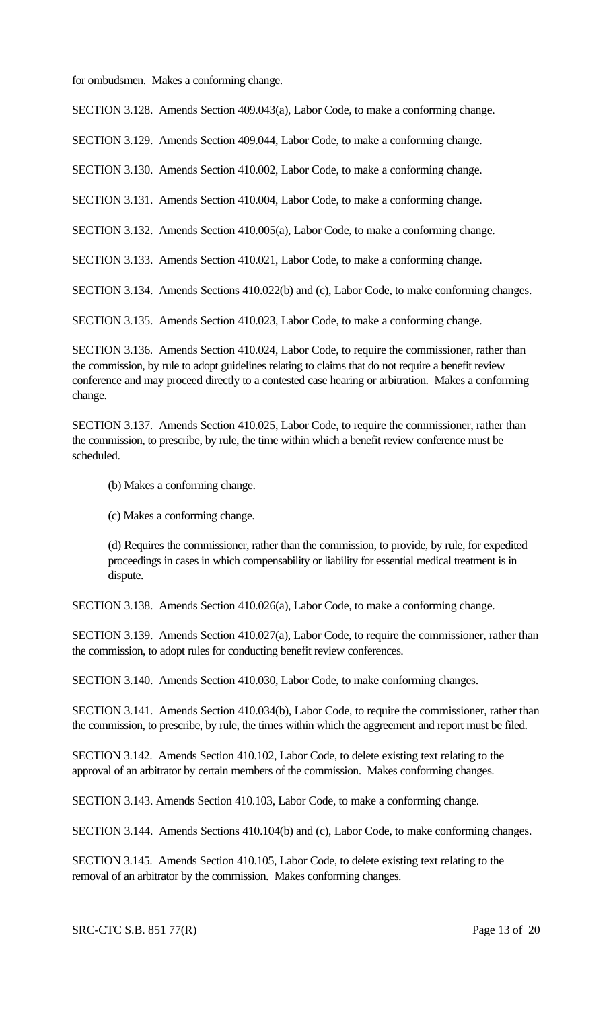for ombudsmen. Makes a conforming change.

SECTION 3.128. Amends Section 409.043(a), Labor Code, to make a conforming change.

SECTION 3.129. Amends Section 409.044, Labor Code, to make a conforming change.

SECTION 3.130. Amends Section 410.002, Labor Code, to make a conforming change.

SECTION 3.131. Amends Section 410.004, Labor Code, to make a conforming change.

SECTION 3.132. Amends Section 410.005(a), Labor Code, to make a conforming change.

SECTION 3.133. Amends Section 410.021, Labor Code, to make a conforming change.

SECTION 3.134. Amends Sections 410.022(b) and (c), Labor Code, to make conforming changes.

SECTION 3.135. Amends Section 410.023, Labor Code, to make a conforming change.

SECTION 3.136. Amends Section 410.024, Labor Code, to require the commissioner, rather than the commission, by rule to adopt guidelines relating to claims that do not require a benefit review conference and may proceed directly to a contested case hearing or arbitration. Makes a conforming change.

SECTION 3.137. Amends Section 410.025, Labor Code, to require the commissioner, rather than the commission, to prescribe, by rule, the time within which a benefit review conference must be scheduled.

(b) Makes a conforming change.

(c) Makes a conforming change.

(d) Requires the commissioner, rather than the commission, to provide, by rule, for expedited proceedings in cases in which compensability or liability for essential medical treatment is in dispute.

SECTION 3.138. Amends Section 410.026(a), Labor Code, to make a conforming change.

SECTION 3.139. Amends Section 410.027(a), Labor Code, to require the commissioner, rather than the commission, to adopt rules for conducting benefit review conferences.

SECTION 3.140. Amends Section 410.030, Labor Code, to make conforming changes.

SECTION 3.141. Amends Section 410.034(b), Labor Code, to require the commissioner, rather than the commission, to prescribe, by rule, the times within which the aggreement and report must be filed.

SECTION 3.142. Amends Section 410.102, Labor Code, to delete existing text relating to the approval of an arbitrator by certain members of the commission. Makes conforming changes.

SECTION 3.143. Amends Section 410.103, Labor Code, to make a conforming change.

SECTION 3.144. Amends Sections 410.104(b) and (c), Labor Code, to make conforming changes.

SECTION 3.145. Amends Section 410.105, Labor Code, to delete existing text relating to the removal of an arbitrator by the commission. Makes conforming changes.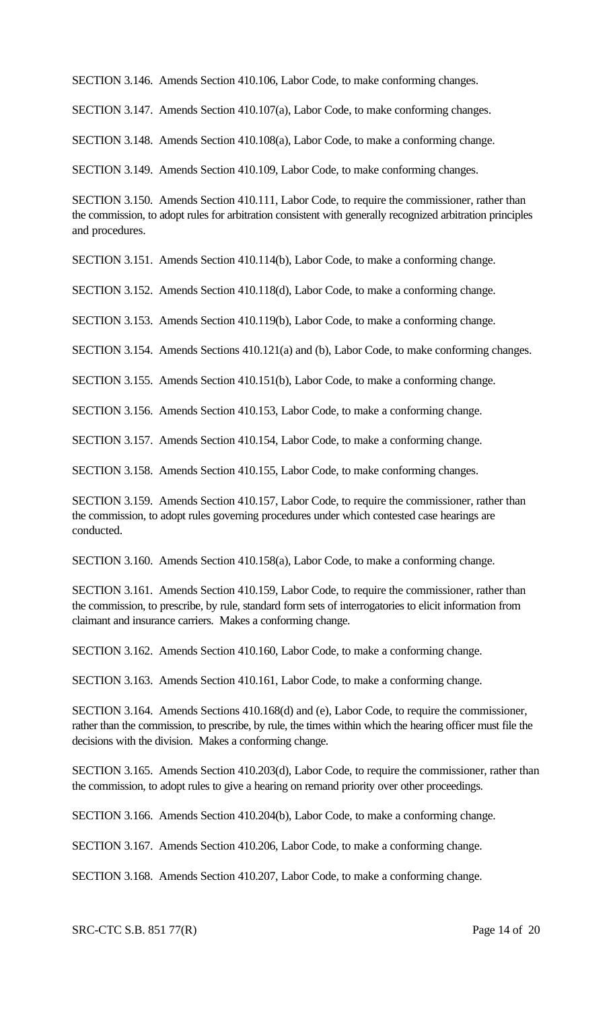SECTION 3.146. Amends Section 410.106, Labor Code, to make conforming changes.

SECTION 3.147. Amends Section 410.107(a), Labor Code, to make conforming changes.

SECTION 3.148. Amends Section 410.108(a), Labor Code, to make a conforming change.

SECTION 3.149. Amends Section 410.109, Labor Code, to make conforming changes.

SECTION 3.150. Amends Section 410.111, Labor Code, to require the commissioner, rather than the commission, to adopt rules for arbitration consistent with generally recognized arbitration principles and procedures.

SECTION 3.151. Amends Section 410.114(b), Labor Code, to make a conforming change.

SECTION 3.152. Amends Section 410.118(d), Labor Code, to make a conforming change.

SECTION 3.153. Amends Section 410.119(b), Labor Code, to make a conforming change.

SECTION 3.154. Amends Sections 410.121(a) and (b), Labor Code, to make conforming changes.

SECTION 3.155. Amends Section 410.151(b), Labor Code, to make a conforming change.

SECTION 3.156. Amends Section 410.153, Labor Code, to make a conforming change.

SECTION 3.157. Amends Section 410.154, Labor Code, to make a conforming change.

SECTION 3.158. Amends Section 410.155, Labor Code, to make conforming changes.

SECTION 3.159. Amends Section 410.157, Labor Code, to require the commissioner, rather than the commission, to adopt rules governing procedures under which contested case hearings are conducted.

SECTION 3.160. Amends Section 410.158(a), Labor Code, to make a conforming change.

SECTION 3.161. Amends Section 410.159, Labor Code, to require the commissioner, rather than the commission, to prescribe, by rule, standard form sets of interrogatories to elicit information from claimant and insurance carriers. Makes a conforming change.

SECTION 3.162. Amends Section 410.160, Labor Code, to make a conforming change.

SECTION 3.163. Amends Section 410.161, Labor Code, to make a conforming change.

SECTION 3.164. Amends Sections 410.168(d) and (e), Labor Code, to require the commissioner, rather than the commission, to prescribe, by rule, the times within which the hearing officer must file the decisions with the division. Makes a conforming change.

SECTION 3.165. Amends Section 410.203(d), Labor Code, to require the commissioner, rather than the commission, to adopt rules to give a hearing on remand priority over other proceedings.

SECTION 3.166. Amends Section 410.204(b), Labor Code, to make a conforming change.

SECTION 3.167. Amends Section 410.206, Labor Code, to make a conforming change.

SECTION 3.168. Amends Section 410.207, Labor Code, to make a conforming change.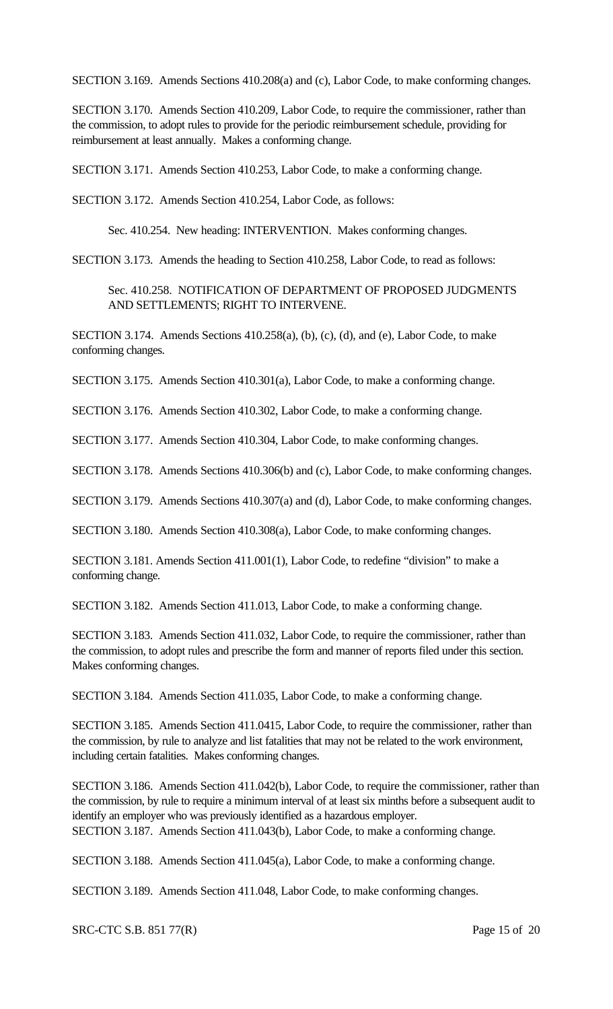SECTION 3.169. Amends Sections 410.208(a) and (c), Labor Code, to make conforming changes.

SECTION 3.170. Amends Section 410.209, Labor Code, to require the commissioner, rather than the commission, to adopt rules to provide for the periodic reimbursement schedule, providing for reimbursement at least annually. Makes a conforming change.

SECTION 3.171. Amends Section 410.253, Labor Code, to make a conforming change.

SECTION 3.172. Amends Section 410.254, Labor Code, as follows:

Sec. 410.254. New heading: INTERVENTION. Makes conforming changes.

SECTION 3.173. Amends the heading to Section 410.258, Labor Code, to read as follows:

Sec. 410.258. NOTIFICATION OF DEPARTMENT OF PROPOSED JUDGMENTS AND SETTLEMENTS; RIGHT TO INTERVENE.

SECTION 3.174. Amends Sections 410.258(a), (b), (c), (d), and (e), Labor Code, to make conforming changes.

SECTION 3.175. Amends Section 410.301(a), Labor Code, to make a conforming change.

SECTION 3.176. Amends Section 410.302, Labor Code, to make a conforming change.

SECTION 3.177. Amends Section 410.304, Labor Code, to make conforming changes.

SECTION 3.178. Amends Sections 410.306(b) and (c), Labor Code, to make conforming changes.

SECTION 3.179. Amends Sections 410.307(a) and (d), Labor Code, to make conforming changes.

SECTION 3.180. Amends Section 410.308(a), Labor Code, to make conforming changes.

SECTION 3.181. Amends Section 411.001(1), Labor Code, to redefine "division" to make a conforming change.

SECTION 3.182. Amends Section 411.013, Labor Code, to make a conforming change.

SECTION 3.183. Amends Section 411.032, Labor Code, to require the commissioner, rather than the commission, to adopt rules and prescribe the form and manner of reports filed under this section. Makes conforming changes.

SECTION 3.184. Amends Section 411.035, Labor Code, to make a conforming change.

SECTION 3.185. Amends Section 411.0415, Labor Code, to require the commissioner, rather than the commission, by rule to analyze and list fatalities that may not be related to the work environment, including certain fatalities. Makes conforming changes.

SECTION 3.186. Amends Section 411.042(b), Labor Code, to require the commissioner, rather than the commission, by rule to require a minimum interval of at least six minths before a subsequent audit to identify an employer who was previously identified as a hazardous employer. SECTION 3.187. Amends Section 411.043(b), Labor Code, to make a conforming change.

SECTION 3.188. Amends Section 411.045(a), Labor Code, to make a conforming change.

SECTION 3.189. Amends Section 411.048, Labor Code, to make conforming changes.

SRC-CTC S.B. 851 77(R) Page 15 of 20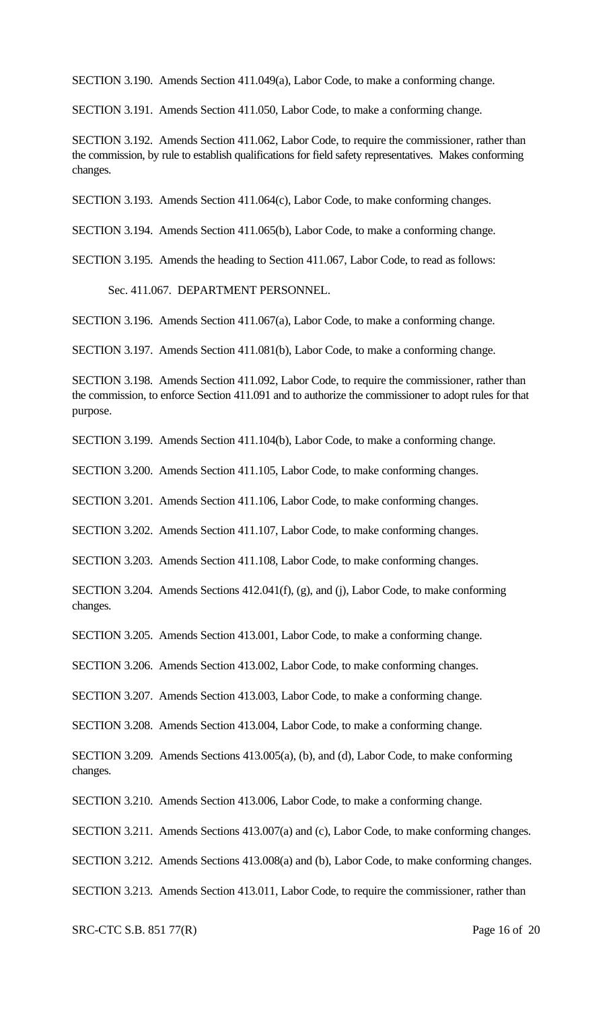SECTION 3.190. Amends Section 411.049(a), Labor Code, to make a conforming change.

SECTION 3.191. Amends Section 411.050, Labor Code, to make a conforming change.

SECTION 3.192. Amends Section 411.062, Labor Code, to require the commissioner, rather than the commission, by rule to establish qualifications for field safety representatives. Makes conforming changes.

SECTION 3.193. Amends Section 411.064(c), Labor Code, to make conforming changes.

SECTION 3.194. Amends Section 411.065(b), Labor Code, to make a conforming change.

SECTION 3.195. Amends the heading to Section 411.067, Labor Code, to read as follows:

Sec. 411.067. DEPARTMENT PERSONNEL.

SECTION 3.196. Amends Section 411.067(a), Labor Code, to make a conforming change.

SECTION 3.197. Amends Section 411.081(b), Labor Code, to make a conforming change.

SECTION 3.198. Amends Section 411.092, Labor Code, to require the commissioner, rather than the commission, to enforce Section 411.091 and to authorize the commissioner to adopt rules for that purpose.

SECTION 3.199. Amends Section 411.104(b), Labor Code, to make a conforming change.

SECTION 3.200. Amends Section 411.105, Labor Code, to make conforming changes.

SECTION 3.201. Amends Section 411.106, Labor Code, to make conforming changes.

SECTION 3.202. Amends Section 411.107, Labor Code, to make conforming changes.

SECTION 3.203. Amends Section 411.108, Labor Code, to make conforming changes.

SECTION 3.204. Amends Sections 412.041(f), (g), and (j), Labor Code, to make conforming changes.

SECTION 3.205. Amends Section 413.001, Labor Code, to make a conforming change.

SECTION 3.206. Amends Section 413.002, Labor Code, to make conforming changes.

SECTION 3.207. Amends Section 413.003, Labor Code, to make a conforming change.

SECTION 3.208. Amends Section 413.004, Labor Code, to make a conforming change.

SECTION 3.209. Amends Sections 413.005(a), (b), and (d), Labor Code, to make conforming changes.

SECTION 3.210. Amends Section 413.006, Labor Code, to make a conforming change.

SECTION 3.211. Amends Sections 413.007(a) and (c), Labor Code, to make conforming changes.

SECTION 3.212. Amends Sections 413.008(a) and (b), Labor Code, to make conforming changes.

SECTION 3.213. Amends Section 413.011, Labor Code, to require the commissioner, rather than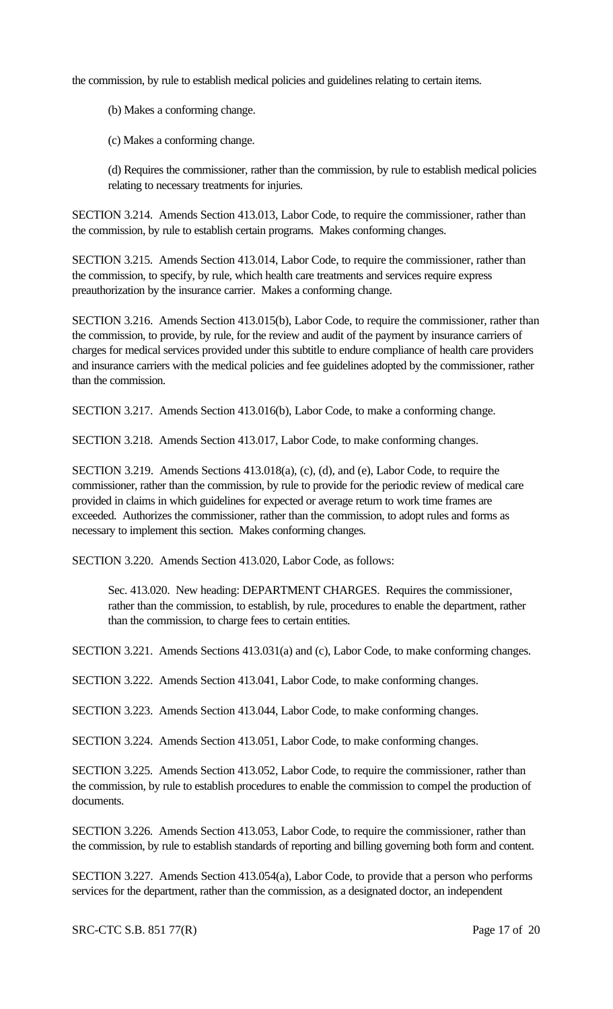the commission, by rule to establish medical policies and guidelines relating to certain items.

(b) Makes a conforming change.

(c) Makes a conforming change.

(d) Requires the commissioner, rather than the commission, by rule to establish medical policies relating to necessary treatments for injuries.

SECTION 3.214. Amends Section 413.013, Labor Code, to require the commissioner, rather than the commission, by rule to establish certain programs. Makes conforming changes.

SECTION 3.215. Amends Section 413.014, Labor Code, to require the commissioner, rather than the commission, to specify, by rule, which health care treatments and services require express preauthorization by the insurance carrier. Makes a conforming change.

SECTION 3.216. Amends Section 413.015(b), Labor Code, to require the commissioner, rather than the commission, to provide, by rule, for the review and audit of the payment by insurance carriers of charges for medical services provided under this subtitle to endure compliance of health care providers and insurance carriers with the medical policies and fee guidelines adopted by the commissioner, rather than the commission.

SECTION 3.217. Amends Section 413.016(b), Labor Code, to make a conforming change.

SECTION 3.218. Amends Section 413.017, Labor Code, to make conforming changes.

SECTION 3.219. Amends Sections 413.018(a), (c), (d), and (e), Labor Code, to require the commissioner, rather than the commission, by rule to provide for the periodic review of medical care provided in claims in which guidelines for expected or average return to work time frames are exceeded. Authorizes the commissioner, rather than the commission, to adopt rules and forms as necessary to implement this section. Makes conforming changes.

SECTION 3.220. Amends Section 413.020, Labor Code, as follows:

Sec. 413.020. New heading: DEPARTMENT CHARGES. Requires the commissioner, rather than the commission, to establish, by rule, procedures to enable the department, rather than the commission, to charge fees to certain entities.

SECTION 3.221. Amends Sections 413.031(a) and (c), Labor Code, to make conforming changes.

SECTION 3.222. Amends Section 413.041, Labor Code, to make conforming changes.

SECTION 3.223. Amends Section 413.044, Labor Code, to make conforming changes.

SECTION 3.224. Amends Section 413.051, Labor Code, to make conforming changes.

SECTION 3.225. Amends Section 413.052, Labor Code, to require the commissioner, rather than the commission, by rule to establish procedures to enable the commission to compel the production of documents.

SECTION 3.226. Amends Section 413.053, Labor Code, to require the commissioner, rather than the commission, by rule to establish standards of reporting and billing governing both form and content.

SECTION 3.227. Amends Section 413.054(a), Labor Code, to provide that a person who performs services for the department, rather than the commission, as a designated doctor, an independent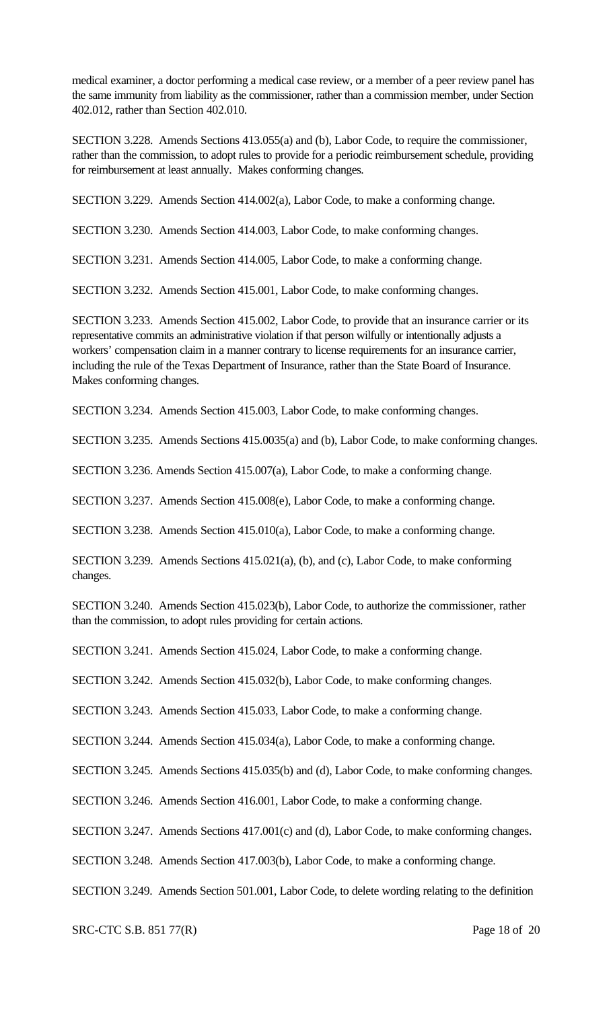medical examiner, a doctor performing a medical case review, or a member of a peer review panel has the same immunity from liability as the commissioner, rather than a commission member, under Section 402.012, rather than Section 402.010.

SECTION 3.228. Amends Sections 413.055(a) and (b), Labor Code, to require the commissioner, rather than the commission, to adopt rules to provide for a periodic reimbursement schedule, providing for reimbursement at least annually. Makes conforming changes.

SECTION 3.229. Amends Section 414.002(a), Labor Code, to make a conforming change.

SECTION 3.230. Amends Section 414.003, Labor Code, to make conforming changes.

SECTION 3.231. Amends Section 414.005, Labor Code, to make a conforming change.

SECTION 3.232. Amends Section 415.001, Labor Code, to make conforming changes.

SECTION 3.233. Amends Section 415.002, Labor Code, to provide that an insurance carrier or its representative commits an administrative violation if that person wilfully or intentionally adjusts a workers' compensation claim in a manner contrary to license requirements for an insurance carrier, including the rule of the Texas Department of Insurance, rather than the State Board of Insurance. Makes conforming changes.

SECTION 3.234. Amends Section 415.003, Labor Code, to make conforming changes.

SECTION 3.235. Amends Sections 415.0035(a) and (b), Labor Code, to make conforming changes.

SECTION 3.236. Amends Section 415.007(a), Labor Code, to make a conforming change.

SECTION 3.237. Amends Section 415.008(e), Labor Code, to make a conforming change.

SECTION 3.238. Amends Section 415.010(a), Labor Code, to make a conforming change.

SECTION 3.239. Amends Sections 415.021(a), (b), and (c), Labor Code, to make conforming changes.

SECTION 3.240. Amends Section 415.023(b), Labor Code, to authorize the commissioner, rather than the commission, to adopt rules providing for certain actions.

SECTION 3.241. Amends Section 415.024, Labor Code, to make a conforming change.

SECTION 3.242. Amends Section 415.032(b), Labor Code, to make conforming changes.

SECTION 3.243. Amends Section 415.033, Labor Code, to make a conforming change.

SECTION 3.244. Amends Section 415.034(a), Labor Code, to make a conforming change.

SECTION 3.245. Amends Sections 415.035(b) and (d), Labor Code, to make conforming changes.

SECTION 3.246. Amends Section 416.001, Labor Code, to make a conforming change.

SECTION 3.247. Amends Sections 417.001(c) and (d), Labor Code, to make conforming changes.

SECTION 3.248. Amends Section 417.003(b), Labor Code, to make a conforming change.

SECTION 3.249. Amends Section 501.001, Labor Code, to delete wording relating to the definition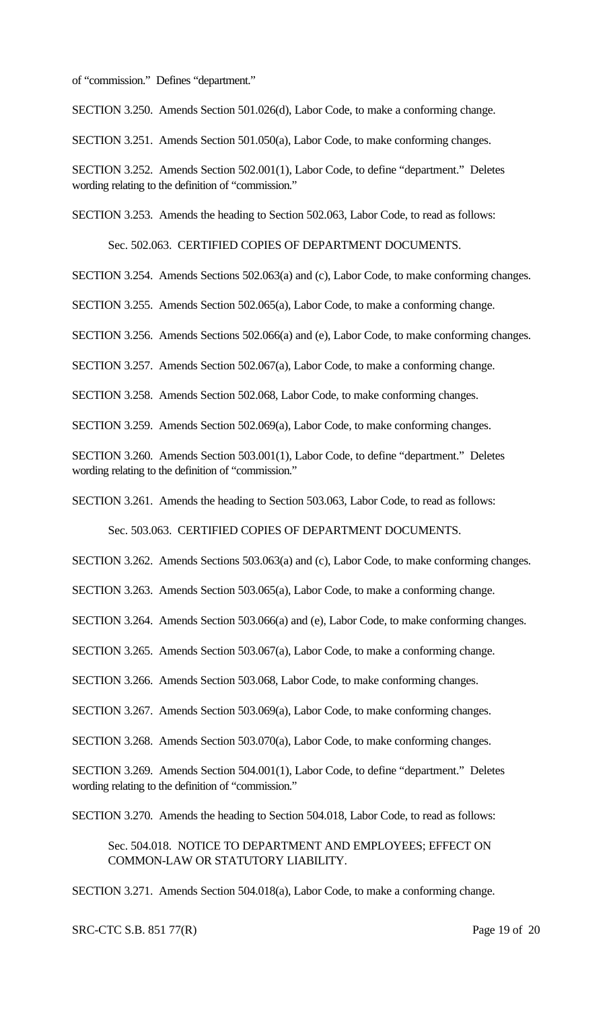of "commission." Defines "department."

SECTION 3.250. Amends Section 501.026(d), Labor Code, to make a conforming change.

SECTION 3.251. Amends Section 501.050(a), Labor Code, to make conforming changes.

SECTION 3.252. Amends Section 502.001(1), Labor Code, to define "department." Deletes wording relating to the definition of "commission."

SECTION 3.253. Amends the heading to Section 502.063, Labor Code, to read as follows:

Sec. 502.063. CERTIFIED COPIES OF DEPARTMENT DOCUMENTS.

SECTION 3.254. Amends Sections 502.063(a) and (c), Labor Code, to make conforming changes.

SECTION 3.255. Amends Section 502.065(a), Labor Code, to make a conforming change.

SECTION 3.256. Amends Sections 502.066(a) and (e), Labor Code, to make conforming changes.

SECTION 3.257. Amends Section 502.067(a), Labor Code, to make a conforming change.

SECTION 3.258. Amends Section 502.068, Labor Code, to make conforming changes.

SECTION 3.259. Amends Section 502.069(a), Labor Code, to make conforming changes.

SECTION 3.260. Amends Section 503.001(1), Labor Code, to define "department." Deletes wording relating to the definition of "commission."

SECTION 3.261. Amends the heading to Section 503.063, Labor Code, to read as follows:

Sec. 503.063. CERTIFIED COPIES OF DEPARTMENT DOCUMENTS.

SECTION 3.262. Amends Sections 503.063(a) and (c), Labor Code, to make conforming changes.

SECTION 3.263. Amends Section 503.065(a), Labor Code, to make a conforming change.

SECTION 3.264. Amends Section 503.066(a) and (e), Labor Code, to make conforming changes.

SECTION 3.265. Amends Section 503.067(a), Labor Code, to make a conforming change.

SECTION 3.266. Amends Section 503.068, Labor Code, to make conforming changes.

SECTION 3.267. Amends Section 503.069(a), Labor Code, to make conforming changes.

SECTION 3.268. Amends Section 503.070(a), Labor Code, to make conforming changes.

SECTION 3.269. Amends Section 504.001(1), Labor Code, to define "department." Deletes wording relating to the definition of "commission."

SECTION 3.270. Amends the heading to Section 504.018, Labor Code, to read as follows:

Sec. 504.018. NOTICE TO DEPARTMENT AND EMPLOYEES; EFFECT ON COMMON-LAW OR STATUTORY LIABILITY.

SECTION 3.271. Amends Section 504.018(a), Labor Code, to make a conforming change.

#### SRC-CTC S.B. 851 77(R) Page 19 of 20